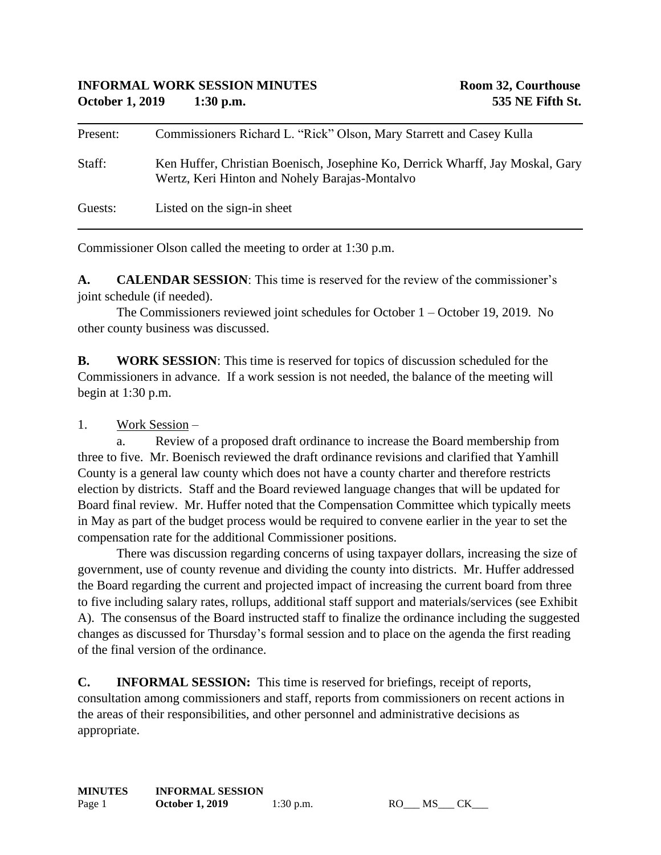| Present: | Commissioners Richard L. "Rick" Olson, Mary Starrett and Casey Kulla                                                             |
|----------|----------------------------------------------------------------------------------------------------------------------------------|
| Staff:   | Ken Huffer, Christian Boenisch, Josephine Ko, Derrick Wharff, Jay Moskal, Gary<br>Wertz, Keri Hinton and Nohely Barajas-Montalvo |
| Guests:  | Listed on the sign-in sheet                                                                                                      |

Commissioner Olson called the meeting to order at 1:30 p.m.

**A. CALENDAR SESSION**: This time is reserved for the review of the commissioner's joint schedule (if needed).

The Commissioners reviewed joint schedules for October 1 – October 19, 2019. No other county business was discussed.

**B. WORK SESSION**: This time is reserved for topics of discussion scheduled for the Commissioners in advance. If a work session is not needed, the balance of the meeting will begin at 1:30 p.m.

1. Work Session –

a. Review of a proposed draft ordinance to increase the Board membership from three to five. Mr. Boenisch reviewed the draft ordinance revisions and clarified that Yamhill County is a general law county which does not have a county charter and therefore restricts election by districts. Staff and the Board reviewed language changes that will be updated for Board final review. Mr. Huffer noted that the Compensation Committee which typically meets in May as part of the budget process would be required to convene earlier in the year to set the compensation rate for the additional Commissioner positions.

There was discussion regarding concerns of using taxpayer dollars, increasing the size of government, use of county revenue and dividing the county into districts. Mr. Huffer addressed the Board regarding the current and projected impact of increasing the current board from three to five including salary rates, rollups, additional staff support and materials/services (see Exhibit A). The consensus of the Board instructed staff to finalize the ordinance including the suggested changes as discussed for Thursday's formal session and to place on the agenda the first reading of the final version of the ordinance.

**C. INFORMAL SESSION:** This time is reserved for briefings, receipt of reports, consultation among commissioners and staff, reports from commissioners on recent actions in the areas of their responsibilities, and other personnel and administrative decisions as appropriate.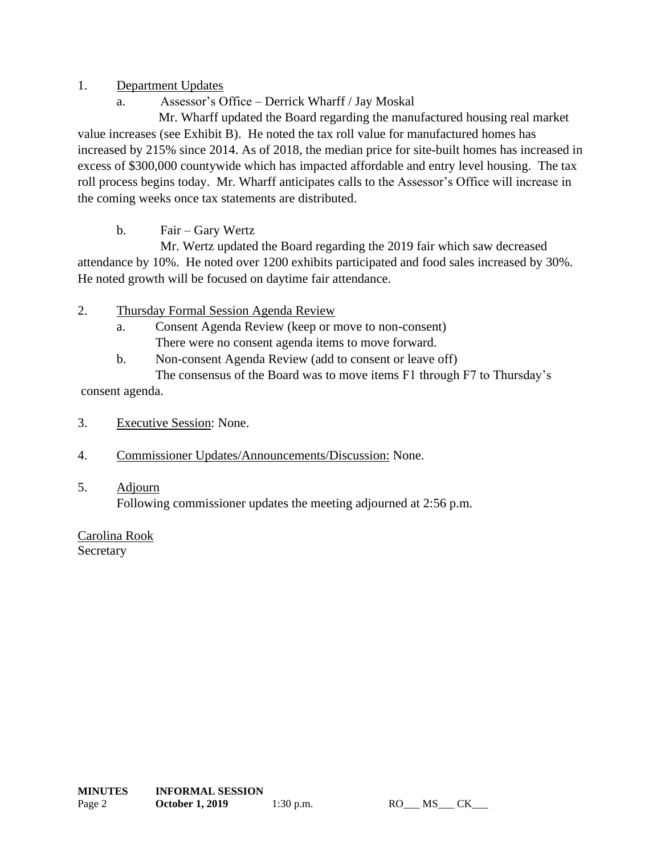## 1. Department Updates

a. Assessor's Office – Derrick Wharff / Jay Moskal

Mr. Wharff updated the Board regarding the manufactured housing real market value increases (see Exhibit B). He noted the tax roll value for manufactured homes has increased by 215% since 2014. As of 2018, the median price for site-built homes has increased in excess of \$300,000 countywide which has impacted affordable and entry level housing. The tax roll process begins today. Mr. Wharff anticipates calls to the Assessor's Office will increase in the coming weeks once tax statements are distributed.

b. Fair – Gary Wertz

Mr. Wertz updated the Board regarding the 2019 fair which saw decreased attendance by 10%. He noted over 1200 exhibits participated and food sales increased by 30%. He noted growth will be focused on daytime fair attendance.

- 2. Thursday Formal Session Agenda Review
	- a. Consent Agenda Review (keep or move to non-consent) There were no consent agenda items to move forward.
	- b. Non-consent Agenda Review (add to consent or leave off)

The consensus of the Board was to move items F1 through F7 to Thursday's consent agenda.

- 3. Executive Session: None.
- 4. Commissioner Updates/Announcements/Discussion: None.
- 5. Adjourn Following commissioner updates the meeting adjourned at 2:56 p.m.

Carolina Rook **Secretary**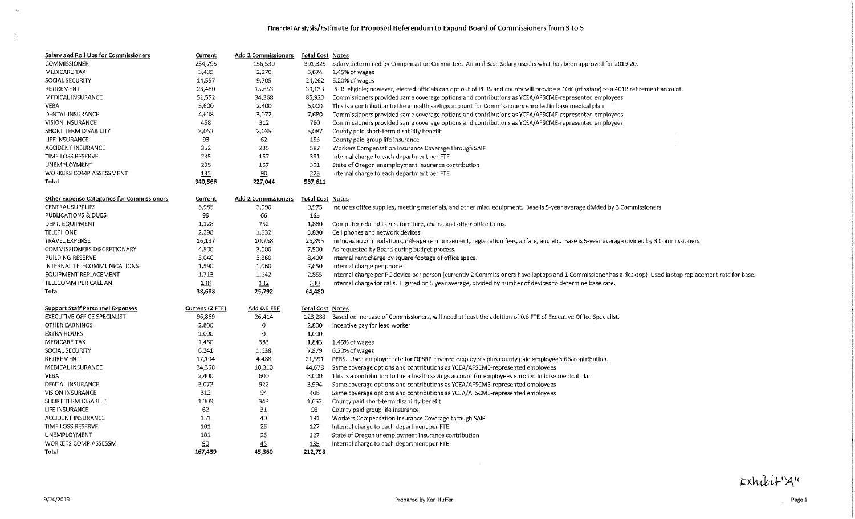#### Financial Analysis/Estimate for Proposed Referendum to Expand Board of Commissioners from 3 to 5

| <b>Salary and Roll Ups for Commissioners</b>      | <b>Current</b>  | <b>Add 2 Commissioners</b> | <b>Total Cost Notes</b> |                                                                                                                                                           |
|---------------------------------------------------|-----------------|----------------------------|-------------------------|-----------------------------------------------------------------------------------------------------------------------------------------------------------|
| COMMISSIONER                                      | 234,795         | 156,530                    | 391,325                 | Salary determined by Compensation Committee. Annual Base Salary used is what has been approved for 2019-20.                                               |
| <b>MEDICARE TAX</b>                               | 3,405           | 2,270                      | 5,674                   | 1.45% of wages                                                                                                                                            |
| SOCIAL SECURITY                                   | 14,557          | 9,705                      |                         | 24,262 6.20% of wages                                                                                                                                     |
| RETIREMENT                                        | 23,480          | 15,653                     | 39,133                  | PERS eligible; however, elected officials can opt out of PERS and county will provide a 10% (of salary) to a 401B retirement account.                     |
| MEDICAL INSURANCE                                 | 51,552          | 34,368                     | 85,920                  | Commissioners provided same coverage options and contributions as YCEA/AFSCME-represented employees                                                       |
| VEBA                                              | 3,600           | 2,400                      | 6,000                   | This is a contribution to the a health savings account for Commissioners enrolled in base medical plan                                                    |
| DENTAL INSURANCE                                  | 4,608           | 3,072                      | 7,680                   | Commissioners provided same coverage options and contributions as YCEA/AFSCME-represented employees                                                       |
| <b>VISION INSURANCE</b>                           | 468             | 312                        | 780                     | Commissioners provided same coverage options and contributions as YCEA/AFSCME-represented employees                                                       |
| SHORT TERM DISABILITY                             | 3,052           | 2,035                      | 5,087                   | County paid short-term disability benefit                                                                                                                 |
| LIFE INSURANCE                                    | 93              | 62                         | 155                     | County paid group life insurance                                                                                                                          |
| <b>ACCIDENT INSURANCE</b>                         | 352             | 235                        | 587                     | Workers Compensation Insurance Coverage through SAIF                                                                                                      |
| TIME LOSS RESERVE                                 | 235             | 157                        | 391                     | Internal charge to each department per FTE                                                                                                                |
| UNEMPLOYMENT                                      | 235             | 157                        | 391                     | State of Oregon unemployment insurance contribution                                                                                                       |
| WORKERS COMP ASSESSMENT                           | 135             | $\overline{50}$            | 225                     | Internal charge to each department per FTE                                                                                                                |
| Total                                             | 340,566         | 227,044                    | 567,611                 |                                                                                                                                                           |
|                                                   |                 |                            |                         |                                                                                                                                                           |
| <b>Other Expense Categories for Commissioners</b> | <b>Current</b>  | <b>Add 2 Commissioners</b> | <b>Total Cost Notes</b> |                                                                                                                                                           |
| <b>CENTRAL SUPPLIES</b>                           | 5,985           | 3,990                      | 9,975                   | Includes office supplies, meeting materials, and other misc, equipment. Base is 5-year average divided by 3 Commissioners                                 |
| PUBLICATIONS & DUES                               | 99              | 66                         | 165                     |                                                                                                                                                           |
| DEPT. EQUIPMENT                                   | 1,128           | 752                        | 1,880                   | Computer related items, furniture, chairs, and other office items.                                                                                        |
| <b>TELEPHONE</b>                                  | 2,298           | 1,532                      | 3,830                   | Cell phones and network devices                                                                                                                           |
| TRAVEL EXPENSE                                    | 16,137          | 10.758                     | 26,895                  | Includes accommodations, mileage reimbursement, registration fees, airfare, and etc. Base is 5-year average divided by 3 Commissioners                    |
| COMMISSIONERS DISCRETIONARY                       | 4,500           | 3,000                      | 7,500                   | As requested by Board during budget process.                                                                                                              |
| <b>BUILDING RESERVE</b>                           | 5,040           | 3,360                      | 8,400                   | Internal rent charge by square footage of office space.                                                                                                   |
| INTERNAL TELECOMMUNICATIONS                       | 1,590           | 1,060                      | 2,650                   | Internal charge per phone                                                                                                                                 |
| EQUIPMENT REPLACEMENT                             | 1,713           | 1,142                      | 2,855                   | Internal charge per PC device per person (currently 2 Commissioners have laptops and 1 Commissioner has a desktop) Used laptop replacement rate for base. |
| TELECOMM PER CALL AN                              | 198             | 132                        | 330                     | Internal charge for calls. Figured on 5 year average, divided by number of devices to determine base rate.                                                |
| Total                                             | 38,688          | 25,792                     | 64,480                  |                                                                                                                                                           |
|                                                   |                 |                            |                         |                                                                                                                                                           |
| <b>Support Staff Personnel Expenses</b>           | Current (2 FTE) | <b>Add 0.6 FTE</b>         | <b>Total Cost Notes</b> |                                                                                                                                                           |
| <b>EXECUTIVE OFFICE SPECIALIST</b>                | 96,869          | 26,414                     | 123,283                 | Based on increase of Commissioners, will need at least the addition of 0.6 FTE of Executive Office Specialist.                                            |
| <b>OTHER EARNINGS</b>                             | $-2,800$        | 0                          | 2,800                   | Incentive pay for lead worker                                                                                                                             |
| <b>EXTRA HOURS</b>                                | 1,000           | 0                          | 1,000                   |                                                                                                                                                           |
| <b>MEDICARE TAX</b>                               | 1,460           | 383                        | 1,843                   | 1.45% of wages                                                                                                                                            |
| SOCIAL SECURITY                                   | 6,241           | 1,638                      | 7,879                   | 6.20% of wages                                                                                                                                            |
| RETIREMENT                                        | 17,104          | 4,488                      | 21,591                  | PERS. Used employer rate for OPSRP covered employees plus county paid employee's 6% contribution.                                                         |
| MEDICAL INSURANCE                                 | 34,368          | 10,310                     | 44,678                  | Same coverage options and contributions as YCEA/AFSCME-represented employees                                                                              |
| <b>VEBA</b>                                       | 2,400           | 600                        | 3,000                   | This is a contribution to the a health savings account for employees enrolled in base medical plan                                                        |
| DENTAL INSURANCE                                  | 3,072           | 922                        | 3,994                   | Same coverage options and contributions as YCEA/AFSCME-represented employees                                                                              |
| <b>VISION INSURANCE</b>                           | 312             | 94                         | 406                     | Same coverage options and contributions as YCEA/AFSCME-represented employees                                                                              |
| SHORT TERM DISABILIT                              | 1,309           | 343                        | 1,652                   | County paid short-term disability benefit                                                                                                                 |
| LIFE INSURANCE                                    | 62              | 31                         | 93                      | County paid group life insurance                                                                                                                          |
| <b>ACCIDENT INSURANCE</b>                         | 151             | 40                         | 191                     | Workers Compensation Insurance Coverage through SAIF                                                                                                      |
| TIME LOSS RESERVE                                 | 101             | 26                         | 127                     | Internal charge to each department per FTE                                                                                                                |
| <b>UNEMPLOYMENT</b>                               | 101             | 26                         | 127                     | State of Oregon unemployment insurance contribution                                                                                                       |
| WORKERS COMP ASSESSM                              | 90              | 45                         | 135                     | Internal charge to each department per FTE                                                                                                                |
| Total                                             | 167,439         | 45,360                     | 212,798                 |                                                                                                                                                           |
|                                                   |                 |                            |                         |                                                                                                                                                           |

Exhibit<sup>11</sup>A<sup>11</sup>

 $\sim 10^{11}$ 

 $\frac{N_{\rm{p}}}{\dot{M}}$  .

 $\mathcal{L}^{\text{max}}_{\text{max}}$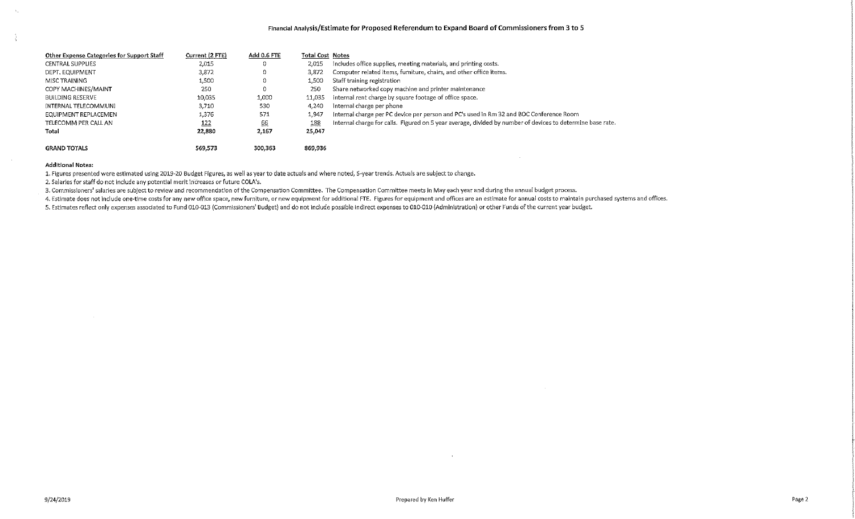$\sim 10^7$ 

| Other Expense Categories for Support Staff | Current (2 FTE) | Add 0.6 FTE | <b>Total Cost Notes</b> |                                                                                                            |
|--------------------------------------------|-----------------|-------------|-------------------------|------------------------------------------------------------------------------------------------------------|
| <b>CENTRAL SUPPLIES</b>                    | 2,015           | 0           | 2,015                   | includes office supplies, meeting materials, and printing costs.                                           |
| DEPT, EQUIPMENT                            | 3,872           | 0           | 3,872                   | Computer related items, furniture, chairs, and other office items.                                         |
| MISC TRAINING                              | 1,500           | 0           | 1.500                   | Staff training registration                                                                                |
| COPY MACHINES/MAINT                        | 250             | 0           | 250                     | Share networked copy machine and printer maintenance                                                       |
| <b>BUILDING RESERVE</b>                    | 10,035          | 1,000       | 11.035                  | Internal rent charge by square footage of office space.                                                    |
| INTERNAL TELECOMMUNI                       | 3.710           | 530         | 4,240                   | Internal charge per phone                                                                                  |
| EQUIPMENT REPLACEMEN                       | 1,376           | 571         | 1,947                   | Internal charge per PC device per person and PC's used in Rm 32 and BOC Conference Room                    |
| TELECOMM PER CALL AN                       | <u>122</u>      | 66          | 188                     | Internal charge for calls. Figured on 5 year average, divided by number of devices to determine base rate. |
| Total                                      | 22,880          | 2,167       | 25,047                  |                                                                                                            |
| <b>GRAND TOTALS</b>                        | 569.573         | 300,363     | 869.936                 |                                                                                                            |

#### **Additional Notes:**

1. Figures presented were estimated using 2019-20 Budget Figures, as well as year to date actuals and where noted, 5-year trends. Actuals are subject to change.

2. Salaries for staff do not include any potential merit increases or future COLA's.

3. Commissioners' salaries are subject to review and recommendation of the Compensation Committee. The Compensation Committee meets in May each year and during the annual budget process.

4. Estimate does not include one-time costs for any new office space, new furniture, or new equipment for additional FTE. Figures for equipment and offices are an estimate for annual costs to maintain purchased systems and

5. Estimates reflect only expenses associated to Fund 010-013 (Commissioners' Budget) and do not include possible indirect expenses to 010-010 (Administration) or other Funds of the current year budget.

 $\sim$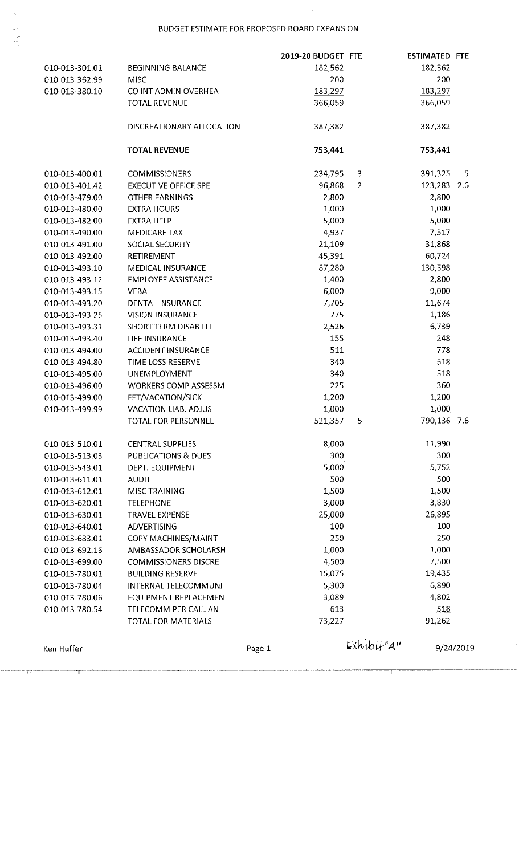### BUDGET ESTIMATE FOR PROPOSED BOARD EXPANSION

|                |                             | 2019-20 BUDGET FTE |                | <b>ESTIMATED FTE</b> |           |
|----------------|-----------------------------|--------------------|----------------|----------------------|-----------|
| 010-013-301.01 | <b>BEGINNING BALANCE</b>    | 182,562            |                | 182,562              |           |
| 010-013-362.99 | <b>MISC</b>                 | 200                |                | 200                  |           |
| 010-013-380.10 | CO INT ADMIN OVERHEA        | 183,297            |                | 183,297              |           |
|                | <b>TOTAL REVENUE</b>        | 366,059            |                | 366,059              |           |
|                | DISCREATIONARY ALLOCATION   | 387,382            |                | 387,382              |           |
|                | <b>TOTAL REVENUE</b>        | 753,441            |                | 753,441              |           |
| 010-013-400.01 | <b>COMMISSIONERS</b>        | 234,795            | 3              | 391,325              | 5         |
| 010-013-401.42 | <b>EXECUTIVE OFFICE SPE</b> | 96,868             | $\overline{2}$ | 123,283 2.6          |           |
| 010-013-479.00 | <b>OTHER EARNINGS</b>       | 2,800              |                | 2,800                |           |
| 010-013-480.00 | <b>EXTRA HOURS</b>          | 1,000              |                | 1,000                |           |
| 010-013-482.00 | <b>EXTRA HELP</b>           | 5,000              |                | 5,000                |           |
| 010-013-490.00 | <b>MEDICARE TAX</b>         | 4,937              |                | 7,517                |           |
| 010-013-491.00 | SOCIAL SECURITY             | 21,109             |                | 31,868               |           |
| 010-013-492.00 | RETIREMENT                  | 45,391             |                | 60,724               |           |
| 010-013-493.10 | <b>MEDICAL INSURANCE</b>    | 87,280             |                | 130,598              |           |
| 010-013-493.12 | <b>EMPLOYEE ASSISTANCE</b>  | 1,400              |                | 2,800                |           |
| 010-013-493.15 | <b>VEBA</b>                 | 6,000              |                | 9,000                |           |
| 010-013-493.20 | DENTAL INSURANCE            | 7,705              |                | 11,674               |           |
| 010-013-493.25 | <b>VISION INSURANCE</b>     | 775                |                | 1,186                |           |
| 010-013-493.31 | SHORT TERM DISABILIT        | 2,526              |                | 6,739                |           |
| 010-013-493.40 | <b>LIFE INSURANCE</b>       | 155                |                | 248                  |           |
| 010-013-494.00 | <b>ACCIDENT INSURANCE</b>   | 511                |                | 778                  |           |
| 010-013-494.80 | TIME LOSS RESERVE           | 340                |                | 518                  |           |
| 010-013-495.00 | <b>UNEMPLOYMENT</b>         | 340                |                | 518                  |           |
| 010-013-496.00 | <b>WORKERS COMP ASSESSM</b> | 225                |                | 360                  |           |
| 010-013-499.00 | FET/VACATION/SICK           | 1,200              |                | 1,200                |           |
| 010-013-499.99 | <b>VACATION LIAB. ADJUS</b> | 1,000              |                | 1,000                |           |
|                | TOTAL FOR PERSONNEL         | 521,357            | 5              | 790,136 7.6          |           |
| 010-013-510.01 | <b>CENTRAL SUPPLIES</b>     | 8,000              |                | 11,990               |           |
| 010-013-513.03 | PUBLICATIONS & DUES         | 300                |                | 300                  |           |
| 010-013-543.01 | DEPT. EQUIPMENT             | 5,000              |                | 5,752                |           |
| 010-013-611.01 | <b>AUDIT</b>                | 500                |                | 500                  |           |
| 010-013-612.01 | MISC TRAINING               | 1,500              |                | 1,500                |           |
| 010-013-620.01 | <b>TELEPHONE</b>            | 3,000              |                | 3,830                |           |
| 010-013-630.01 | <b>TRAVEL EXPENSE</b>       | 25,000             |                | 26,895               |           |
| 010-013-640.01 | ADVERTISING                 | 100                |                | 100                  |           |
| 010-013-683.01 | COPY MACHINES/MAINT         | 250                |                | 250                  |           |
| 010-013-692.16 | AMBASSADOR SCHOLARSH        | 1,000              |                | 1,000                |           |
| 010-013-699.00 | <b>COMMISSIONERS DISCRE</b> | 4,500              |                | 7,500                |           |
| 010-013-780.01 | <b>BUILDING RESERVE</b>     | 15,075             |                | 19,435               |           |
| 010-013-780.04 | INTERNAL TELECOMMUNI        | 5,300              |                | 6,890                |           |
| 010-013-780.06 | EQUIPMENT REPLACEMEN        | 3,089              |                | 4,802                |           |
| 010-013-780.54 | TELECOMM PER CALL AN        | 613                |                | 518                  |           |
|                | <b>TOTAL FOR MATERIALS</b>  | 73,227             |                | 91,262               |           |
|                |                             |                    | $Exhibi+4$     |                      |           |
| Ken Huffer     |                             | Page 1             |                |                      | 9/24/2019 |

T

 $\frac{1}{2} \sum_{i=1}^{n} \sum_{j=1}^{n} \sum_{j=1}^{n} \frac{1}{j} \sum_{j=1}^{n} \frac{1}{j} \sum_{j=1}^{n} \frac{1}{j} \sum_{j=1}^{n} \frac{1}{j} \sum_{j=1}^{n} \frac{1}{j} \sum_{j=1}^{n} \frac{1}{j} \sum_{j=1}^{n} \frac{1}{j} \sum_{j=1}^{n} \frac{1}{j} \sum_{j=1}^{n} \frac{1}{j} \sum_{j=1}^{n} \frac{1}{j} \sum_{j=1}^{n} \frac{1}{j} \sum_{j=1$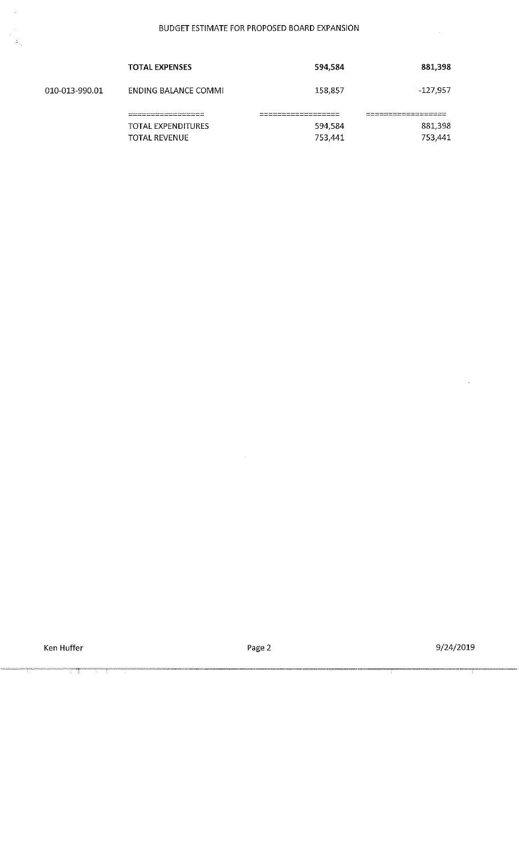|                | <b>TOTAL EXPENSES</b>                                             | 594,584 | 881,398    |
|----------------|-------------------------------------------------------------------|---------|------------|
| 010-013-990.01 | ENDING BALANCE COMMI                                              | 158,857 | $-127,957$ |
|                | aw www.bury.comb.buryb.burg.vurk.ny.ppp.com.comb.com.com/anna.com |         |            |
|                | TOTAL EXPENDITURES                                                | 594,584 | 881,398    |
|                | <b>TOTAL REVENUE</b>                                              | 753,441 | 753,441    |

 $\overline{\mathbb{T}}$ 

 $\mathcal{A}^{\mathcal{A}}$ 

Page 2

 $\hat{\boldsymbol{\gamma}}$ 

9/24/2019

 $\overline{\mathcal{E}}$ 

 $\frac{1}{2}$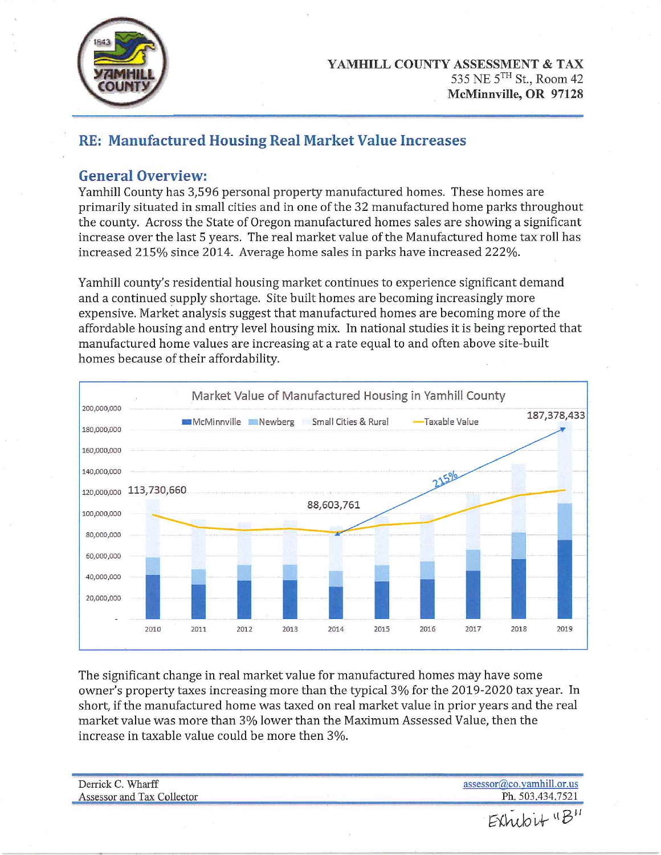

# RE: Manufactured Housing Real Market Value Increases

## **General Overview:**

Yamhill County has 3,596 personal property manufactured homes. These homes are primarily situated in small cities and in one of the 32 manufactured home parks throughout the county. Across the State of Oregon manufactured homes sales are showing a significant increase over the last 5 years. The real market value of the Manufactured home tax roll has increased 215% since 2014. Average home sales in parks have increased 222%.

Yamhill county's residential housing market continues to experience significant demand and a continued supply shortage. Site built homes are becoming increasingly more expensive. Market analysis suggest that manufactured homes are becoming more of the affordable housing and entry level housing mix. In national studies it is being reported that manufactured home values are increasing at a rate equal to and often above site-built homes because of their affordability.



The significant change in real market value for manufactured homes may have some owner's property taxes increasing more than the typical 3% for the 2019-2020 tax year. In short, if the manufactured home was taxed on real market value in prior years and the real market value was more than 3% lower than the Maximum Assessed Value, then the increase in taxable value could be more then 3%.

| Derrick C. Wharff          | $assessor@co.vamhill.$ or.us |
|----------------------------|------------------------------|
| Assessor and Tax Collector | Ph. 503.434.7521             |
|                            | $E$ Xhubit " $B$ "           |
|                            |                              |